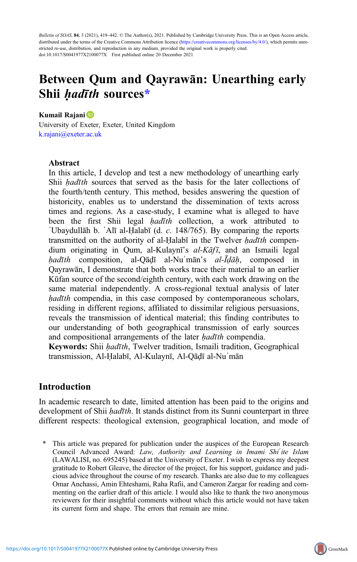Bulletin of SOAS, 84, 3 (2021), 419-442. © The Author(s), 2021. Published by Cambridge University Press. This is an Open Access article, distributed under the terms of the Creative Commons Attribution licence [\(https://creativecommons.org/licenses/by/4.0/\)](https://creativecommons.org/licenses/by/4.0/), which permits unrestricted re-use, distribution, and reproduction in any medium, provided the original work is properly cited. doi:10.1017/S0041977X2100077X First published online 20 December 2021

# Between Qum and Qayrawān: Unearthing early Shii *hadīth* sources\*

Kumail Rajani

University of Exeter, Exeter, United Kingdom [k.rajani@exeter.ac.uk](mailto:k.rajani@exeter.ac.uk)

#### Abstract

In this article, I develop and test a new methodology of unearthing early Shii *hadīth* sources that served as the basis for the later collections of the fourth/tenth century. This method, besides answering the question of historicity, enables us to understand the dissemination of texts across times and regions. As a case-study, I examine what is alleged to have been the first Shii legal *hadīth* collection, a work attributed to ʿUbaydullāh b. ʿAlī al-Ḥalabī (d. c. 148/765). By comparing the reports transmitted on the authority of al-Halabī in the Twelver *hadīth* compendium originating in Qum, al-Kulaynī's  $al-Kāf\bar{\iota}$ , and an Ismaili legal hadīth composition, al-Qādī al-Nuʿmān's al-Īdāh, composed in Qayrawān, I demonstrate that both works trace their material to an earlier Kūfan source of the second/eighth century, with each work drawing on the same material independently. A cross-regional textual analysis of later hadīth compendia, in this case composed by contemporaneous scholars, residing in different regions, affiliated to dissimilar religious persuasions, reveals the transmission of identical material; this finding contributes to our understanding of both geographical transmission of early sources and compositional arrangements of the later  $had\bar{t}th$  compendia.

Keywords: Shii hadīth, Twelver tradition, Ismaili tradition, Geographical transmission, Al-Ḥalabī, Al-Kulaynī, Al-Qāḍī al-Nuʿmān

## Introduction

In academic research to date, limited attention has been paid to the origins and development of Shii  $h$ adīth. It stands distinct from its Sunni counterpart in three different respects: theological extension, geographical location, and mode of

\* This article was prepared for publication under the auspices of the European Research Council Advanced Award: Law, Authority and Learning in Imami Shiʿite Islam (LAWALISI, no. 695245) based at the University of Exeter. I wish to express my deepest gratitude to Robert Gleave, the director of the project, for his support, guidance and judicious advice throughout the course of my research. Thanks are also due to my colleagues Omar Anchassi, Amin Ehteshami, Raha Rafii, and Cameron Zargar for reading and commenting on the earlier draft of this article. I would also like to thank the two anonymous reviewers for their insightful comments without which this article would not have taken its current form and shape. The errors that remain are mine.

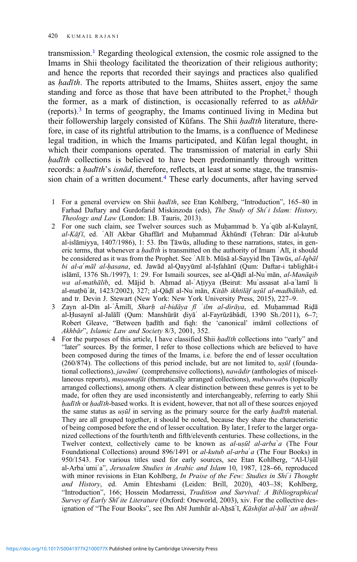transmission.<sup>1</sup> Regarding theological extension, the cosmic role assigned to the Imams in Shii theology facilitated the theorization of their religious authority; and hence the reports that recorded their sayings and practices also qualified as *hadīth*. The reports attributed to the Imams, Shiites assert, enjoy the same standing and force as those that have been attributed to the Prophet, $2$  though the former, as a mark of distinction, is occasionally referred to as akhbar (reports).3 In terms of geography, the Imams continued living in Medina but their followership largely consisted of Kūfans. The Shii *hadīth* literature, therefore, in case of its rightful attribution to the Imams, is a confluence of Medinese legal tradition, in which the Imams participated, and Kūfan legal thought, in which their companions operated. The transmission of material in early Shii hadīth collections is believed to have been predominantly through written records: a *hadīth's isnād*, therefore, reflects, at least at some stage, the transmission chain of a written document.<sup>4</sup> These early documents, after having served

- 1 For a general overview on Shii *hadīth*, see Etan Kohlberg, "Introduction", 165–80 in Farhad Daftary and Gurdofarid Miskinzoda (eds), The Study of Shi'i Islam: History, Theology and Law (London: I.B. Tauris, 2013).
- 2 For one such claim, see Twelver sources such as Muḥammad b. Yaʿqūb al-Kulaynī,  $al-Kāf\bar{t}$ , ed. `Alī Akbar Ghaffārī and Muḥammad Ākhūndī (Tehran: Dār al-kutub al-islāmiyya, 1407/1986), 1: 53. Ibn Ṭāwūs, alluding to these narrations, states, in generic terms, that whenever a *hadīth* is transmitted on the authority of Imam `Alī, it should be considered as it was from the Prophet. See 'Alī b. Mūsā al-Sayyid Ibn Țāwūs, al-Iqbāl bi al-aʿmāl al-ḥasana, ed. Jawād al-Qayyūmī al-Iṣfahānī (Qum: Daftar-i tablighāt-i islāmī, 1376 Sh./1997), 1: 29. For Ismaili sources, see al-Qāḍī al-Nuʿmān, al-Manāqib wa al-mathālib, ed. Mājid b. Aḥmad al-ʿAṭiyya (Beirut: Muʾassasat al-aʿlamī li al-maṭbūʿāt, 1423/2002), 327; al-Qāḍī al-Nuʿmān, Kitāb ikhtilāf uṣūl al-madhāhib, ed. and tr. Devin J. Stewart (New York: New York University Press, 2015), 227–9.
- 3 Zayn al-Dīn al-ʿĀmilī, *Sharḥ al-bidāya fī ʿilm al-dirāya*, ed. Muḥammad Riḍā al-Ḥusaynī al-Jalālī (Qum: Manshūrāt ḍiyāʾ al-Fayrūzābādī, 1390 Sh./2011), 6–7; Robert Gleave, "Between ḥadīth and fiqh: the 'canonical' imāmī collections of Akhbār", Islamic Law and Society 8/3, 2001, 352.
- 4 For the purposes of this article, I have classified Shii *hadīth* collections into "early" and "later" sources. By the former, I refer to those collections which are believed to have been composed during the times of the Imams, i.e. before the end of lesser occultation  $(260/874)$ . The collections of this period include, but are not limited to, usual (foundational collections), jawāmi<sup>'</sup> (comprehensive collections), nawādir (anthologies of miscellaneous reports), *muṣannafāt* (thematically arranged collections), *mubawwabs* (topically arranged collections), among others. A clear distinction between these genres is yet to be made, for often they are used inconsistently and interchangeably, referring to early Shii hadīth or hadīth-based works. It is evident, however, that not all of these sources enjoyed the same status as  $us\bar{u}l$  in serving as the primary source for the early *hadith* material. They are all grouped together, it should be noted, because they share the characteristic of being composed before the end of lesser occultation. By later, I refer to the larger organized collections of the fourth/tenth and fifth/eleventh centuries. These collections, in the Twelver context, collectively came to be known as al-uṣūl al-arba<sup>'</sup>a (The Four Foundational Collections) around 896/1491 or al-kutub al-arba<sup>'</sup> a (The Four Books) in 950/1543. For various titles used for early sources, see Etan Kohlberg, "Al-Uṣūl al-Arbaʿumiʾa", Jerusalem Studies in Arabic and Islam 10, 1987, 128–66, reproduced with minor revisions in Etan Kohlberg, In Praise of the Few: Studies in Shi'i Thought and History, ed. Amin Ehteshami (Leiden: Brill, 2020), 403–38; Kohlberg, "Introduction", 166; Hossein Modarressi, Tradition and Survival: A Bibliographical Survey of Early Shī tie Literature (Oxford: Oneworld, 2003), xiv. For the collective designation of "The Four Books", see Ibn Abī Jumhūr al-Aḥsā'ī, Kāshifat al-ḥāl 'an aḥwāl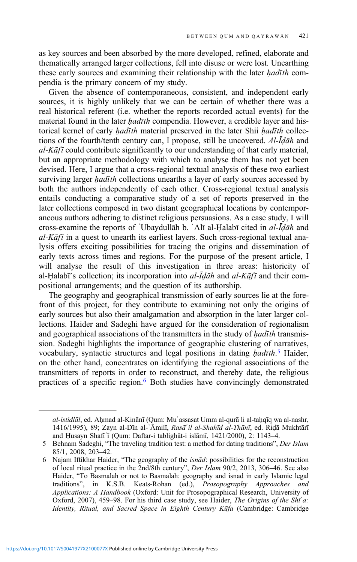as key sources and been absorbed by the more developed, refined, elaborate and thematically arranged larger collections, fell into disuse or were lost. Unearthing these early sources and examining their relationship with the later hadīth compendia is the primary concern of my study.

Given the absence of contemporaneous, consistent, and independent early sources, it is highly unlikely that we can be certain of whether there was a real historical referent (i.e. whether the reports recorded actual events) for the material found in the later *hadīth* compendia. However, a credible layer and historical kernel of early hadīth material preserved in the later Shii hadīth collections of the fourth/tenth century can, I propose, still be uncovered. Al-Īḍāh and  $al-K\bar{a}f\bar{\iota}$  could contribute significantly to our understanding of that early material, but an appropriate methodology with which to analyse them has not yet been devised. Here, I argue that a cross-regional textual analysis of these two earliest surviving larger hadīth collections unearths a layer of early sources accessed by both the authors independently of each other. Cross-regional textual analysis entails conducting a comparative study of a set of reports preserved in the later collections composed in two distant geographical locations by contemporaneous authors adhering to distinct religious persuasions. As a case study, I will cross-examine the reports of ʿUbaydullāh b. ʿAlī al-Ḥalabī cited in al-Īḍāh and  $al-K\bar{a}f\bar{i}$  in a quest to unearth its earliest layers. Such cross-regional textual analysis offers exciting possibilities for tracing the origins and dissemination of early texts across times and regions. For the purpose of the present article, I will analyse the result of this investigation in three areas: historicity of al-Halabī's collection; its incorporation into al- $\bar{I}d\bar{a}h$  and al- $K\bar{a}f\bar{\iota}$  and their compositional arrangements; and the question of its authorship.

The geography and geographical transmission of early sources lie at the forefront of this project, for they contribute to examining not only the origins of early sources but also their amalgamation and absorption in the later larger collections. Haider and Sadeghi have argued for the consideration of regionalism and geographical associations of the transmitters in the study of  $had\bar{t}h$  transmission. Sadeghi highlights the importance of geographic clustering of narratives, vocabulary, syntactic structures and legal positions in dating hadīth.<sup>5</sup> Haider, on the other hand, concentrates on identifying the regional associations of the transmitters of reports in order to reconstruct, and thereby date, the religious practices of a specific region.6 Both studies have convincingly demonstrated

 $al$ -istidlāl, ed. Ahmad al-Kinānī (Qum: Mu'assasat Umm al-qurā li al-tahqīq wa al-nashr, 1416/1995), 89; Zayn al-Dīn al-ʿĀmilī, Rasāʾil al-Shahīd al-Thānī, ed. Riḍā Mukhtārī and Ḥusayn Shafīʿī (Qum: Daftar-i tablighāt-i islāmī, 1421/2000), 2: 1143–4.

<sup>5</sup> Behnam Sadeghi, "The traveling tradition test: a method for dating traditions", Der Islam 85/1, 2008, 203–42.

<sup>6</sup> Najam Iftikhar Haider, "The geography of the isnād: possibilities for the reconstruction of local ritual practice in the 2nd/8th century", Der Islam 90/2, 2013, 306–46. See also Haider, "To Basmalah or not to Basmalah: geography and isnad in early Islamic legal traditions", in K.S.B. Keats-Rohan (ed.), Prosopography Approaches and Applications: A Handbook (Oxford: Unit for Prosopographical Research, University of Oxford, 2007), 459–98. For his third case study, see Haider, *The Origins of the Shī'a:* Identity, Ritual, and Sacred Space in Eighth Century Kūfa (Cambridge: Cambridge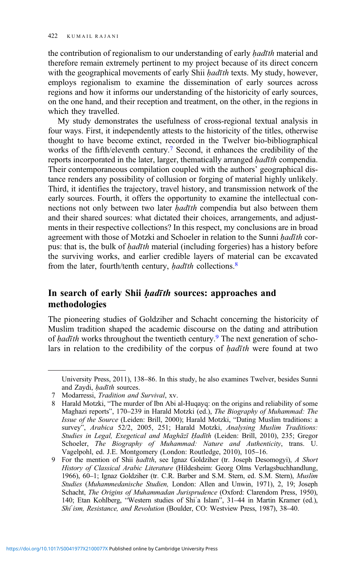the contribution of regionalism to our understanding of early *hadīth* material and therefore remain extremely pertinent to my project because of its direct concern with the geographical movements of early Shii hadīth texts. My study, however, employs regionalism to examine the dissemination of early sources across regions and how it informs our understanding of the historicity of early sources, on the one hand, and their reception and treatment, on the other, in the regions in which they travelled.

My study demonstrates the usefulness of cross-regional textual analysis in four ways. First, it independently attests to the historicity of the titles, otherwise thought to have become extinct, recorded in the Twelver bio-bibliographical works of the fifth/eleventh century.<sup>7</sup> Second, it enhances the credibility of the reports incorporated in the later, larger, thematically arranged *hadīth* compendia. Their contemporaneous compilation coupled with the authors' geographical distance renders any possibility of collusion or forging of material highly unlikely. Third, it identifies the trajectory, travel history, and transmission network of the early sources. Fourth, it offers the opportunity to examine the intellectual connections not only between two later *hadīth* compendia but also between them and their shared sources: what dictated their choices, arrangements, and adjustments in their respective collections? In this respect, my conclusions are in broad agreement with those of Motzki and Schoeler in relation to the Sunni hadīth corpus: that is, the bulk of *hadīth* material (including forgeries) has a history before the surviving works, and earlier credible layers of material can be excavated from the later, fourth/tenth century,  $had\bar{t}th$  collections.<sup>8</sup>

## In search of early Shii *hadīth* sources: approaches and methodologies

The pioneering studies of Goldziher and Schacht concerning the historicity of Muslim tradition shaped the academic discourse on the dating and attribution of hadīth works throughout the twentieth century.<sup>9</sup> The next generation of scholars in relation to the credibility of the corpus of hadīth were found at two

University Press, 2011), 138–86. In this study, he also examines Twelver, besides Sunni and Zaydi, *hadīth* sources.

<sup>7</sup> Modarressi, Tradition and Survival, xv.

<sup>8</sup> Harald Motzki, "The murder of Ibn Abi al-Huqayq: on the origins and reliability of some Maghazi reports", 170–239 in Harald Motzki (ed.), The Biography of Muhammad: The Issue of the Source (Leiden: Brill, 2000); Harald Motzki, "Dating Muslim traditions: a survey", Arabica 52/2, 2005, 251; Harald Motzki, Analysing Muslim Traditions: Studies in Legal, Exegetical and Maghāzī Ḥadīth (Leiden: Brill, 2010), 235; Gregor Schoeler, The Biography of Muhammad: Nature and Authenticity, trans. U. Vagelpohl, ed. J.E. Montgomery (London: Routledge, 2010), 105–16.

<sup>9</sup> For the mention of Shii hadīth, see Ignaz Goldziher (tr. Joseph Desomogyi), A Short History of Classical Arabic Literature (Hildesheim: Georg Olms Verlagsbuchhandlung, 1966), 60–1; Ignaz Goldziher (tr. C.R. Barber and S.M. Stern, ed. S.M. Stern), Muslim Studies (Muhammedanische Studien, London: Allen and Unwin, 1971), 2, 19; Joseph Schacht, The Origins of Muhammadan Jurisprudence (Oxford: Clarendom Press, 1950), 140; Etan Kohlberg, "Western studies of Shiʿa Islam", 31–44 in Martin Kramer (ed.), Shi'ism, Resistance, and Revolution (Boulder, CO: Westview Press, 1987), 38-40.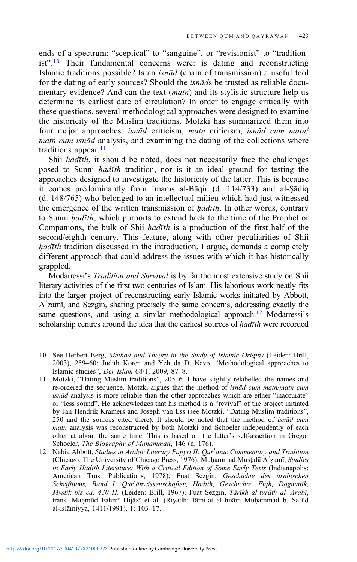ends of a spectrum: "sceptical" to "sanguine", or "revisionist" to "traditionist".<sup>10</sup> Their fundamental concerns were: is dating and reconstructing Islamic traditions possible? Is an isnād (chain of transmission) a useful tool for the dating of early sources? Should the isnāds be trusted as reliable documentary evidence? And can the text (*matn*) and its stylistic structure help us determine its earliest date of circulation? In order to engage critically with these questions, several methodological approaches were designed to examine the historicity of the Muslim traditions. Motzki has summarized them into four major approaches: isnād criticism, matn criticism, isnād cum matn/ matn cum isnād analysis, and examining the dating of the collections where traditions appear. $^{11}$ 

Shii hadīth, it should be noted, does not necessarily face the challenges posed to Sunni *hadīth* tradition, nor is it an ideal ground for testing the approaches designed to investigate the historicity of the latter. This is because it comes predominantly from Imams al-Bāqir (d. 114/733) and al-Ṣādiq (d. 148/765) who belonged to an intellectual milieu which had just witnessed the emergence of the written transmission of *hadīth*. In other words, contrary to Sunni *hadīth*, which purports to extend back to the time of the Prophet or Companions, the bulk of Shii *hadīth* is a production of the first half of the second/eighth century. This feature, along with other peculiarities of Shii hadīth tradition discussed in the introduction, I argue, demands a completely different approach that could address the issues with which it has historically grappled.

Modarressi's Tradition and Survival is by far the most extensive study on Shii literary activities of the first two centuries of Islam. His laborious work neatly fits into the larger project of reconstructing early Islamic works initiated by Abbott, Aʿẓamī, and Sezgin, sharing precisely the same concerns, addressing exactly the same questions, and using a similar methodological approach.<sup>12</sup> Modarressi's scholarship centres around the idea that the earliest sources of *hadīth* were recorded

- 10 See Herbert Berg, Method and Theory in the Study of Islamic Origins (Leiden: Brill, 2003), 259–60; Judith Koren and Yehuda D. Navo, "Methodological approaches to Islamic studies", Der Islam 68/1, 2009, 87–8.
- 11 Motzki, "Dating Muslim traditions", 205–6. I have slightly relabelled the names and re-ordered the sequence. Motzki argues that the method of *isnād cum matn/matn cum* isnād analysis is more reliable than the other approaches which are either "inaccurate" or "less sound". He acknowledges that his method is a "revival" of the project initiated by Jan Hendrik Kramers and Joseph van Ess (see Motzki, "Dating Muslim traditions", 250 and the sources cited there). It should be noted that the method of *isnad cum* matn analysis was reconstructed by both Motzki and Schoeler independently of each other at about the same time. This is based on the latter's self-assertion in Gregor Schoeler, The Biography of Muhammad, 146 (n. 176).
- 12 Nabia Abbott, Studies in Arabic Literary Papyri II: Qur'anic Commentary and Tradition (Chicago: The University of Chicago Press, 1976); Muḥammad Muṣṭafā Aʿẓamī, Studies in Early Ḥadīth Literature: With a Critical Edition of Some Early Texts (Indianapolis: American Trust Publications, 1978); Fuat Sezgin, Geschichte des arabischen Schrifttums, Band I: Qurʾānwissenschaften, Hadith, Geschichte, Fiqh, Dogmatik, Mystik bis ca. 430 H. (Leiden: Brill, 1967); Fuat Sezgin, Tārīkh al-turāth al-`Arabī, trans. Maḥmūd Fahmī Ḥijāzī et al. (Riyadh: Jāmiʿat al-Imām Muḥammad b. Saʿūd al-islāmiyya, 1411/1991), 1: 103–17.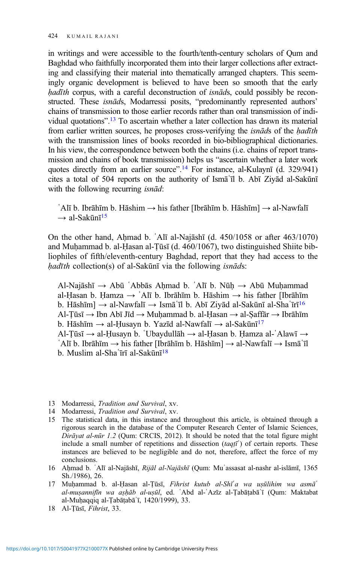in writings and were accessible to the fourth/tenth-century scholars of Qum and Baghdad who faithfully incorporated them into their larger collections after extracting and classifying their material into thematically arranged chapters. This seemingly organic development is believed to have been so smooth that the early hadīth corpus, with a careful deconstruction of *isnāds*, could possibly be reconstructed. These isnads, Modarressi posits, "predominantly represented authors' chains of transmission to those earlier records rather than oral transmission of individual quotations". <sup>13</sup> To ascertain whether a later collection has drawn its material from earlier written sources, he proposes cross-verifying the *isnads* of the *hadith* with the transmission lines of books recorded in bio-bibliographical dictionaries. In his view, the correspondence between both the chains (i.e. chains of report transmission and chains of book transmission) helps us "ascertain whether a later work quotes directly from an earlier source".<sup>14</sup> For instance, al-Kulaynī (d. 329/941) cites a total of 504 reports on the authority of Ismāʿīl b. Abī Ziyād al-Sakūnī with the following recurring *isnad*:

 $\hat{A}$ lī b. Ibrāhīm b. Hāshim  $\rightarrow$  his father [Ibrāhīm b. Hāshīm]  $\rightarrow$  al-Nawfalī  $\rightarrow$  al-Sakūnī<sup>15</sup>

On the other hand, Aḥmad b. ʿAlī al-Najāshī (d. 450/1058 or after 463/1070) and Muḥammad b. al-Ḥasan al-Ṭūsī (d. 460/1067), two distinguished Shiite bibliophiles of fifth/eleventh-century Baghdad, report that they had access to the  $h$ adīth collection(s) of al-Sakūnī via the following *isnāds*:

Al-Najāshī → Abū ʿAbbās Aḥmad b. ʿAlī b. Nūḥ → Abū Muḥammad al-Ḥasan b. Ḥamza → ʿAlī b. Ibrāhīm b. Hāshim → his father [Ibrāhīm b. Hāshīm] → al-Nawfalī → Ismāʿīl b. Abī Ziyād al-Sakūnī al-Shaʿīrī<sup>16</sup> Al-Ṭūsī → Ibn Abī Jīd → Muḥammad b. al-Ḥasan → al-Ṣaffār → Ibrāhīm b. Hāshīm → al-Ḥusayn b. Yazīd al-Nawfalī → al-Sakūnī<sup>17</sup> Al-Ṭūsī → al-Ḥusayn b. ʿUbaydullāh → al-Ḥasan b. Ḥamza al-ʿAlawī →  $'Al\bar{\iota}$  b. Ibrāhīm  $\rightarrow$  his father [Ibrāhīm b. Hāshīm]  $\rightarrow$  al-Nawfalī  $\rightarrow$  Ismā $'I$ l b. Muslim al-Shaʿīrī al-Sakūnī 18

- 13 Modarressi, Tradition and Survival, xv.
- 14 Modarressi, Tradition and Survival, xv.
- 15 The statistical data, in this instance and throughout this article, is obtained through a rigorous search in the database of the Computer Research Center of Islamic Sciences, Dirāyat al-nūr 1.2 (Qum: CRCIS, 2012). It should be noted that the total figure might include a small number of repetitions and dissection  $(taqt\vec{i})$  of certain reports. These instances are believed to be negligible and do not, therefore, affect the force of my conclusions.
- 16 Aḥmad b. ʿAlī al-Najāshī, Rijāl al-Najāshī (Qum: Muʾassasat al-nashr al-islāmī, 1365 Sh./1986), 26.
- 17 Muḥammad b. al-Ḥasan al-Ṭūsī, Fihrist kutub al-Shī'a wa uṣūlihim wa asmā' al-muṣannifīn wa aṣḥāb al-uṣūl, ed. ʿAbd al-ʿAzīz al-Ṭabāṭabāʾī (Qum: Maktabat al-Muḥaqqiq al-Ṭabāṭabāʾī, 1420/1999), 33.
- 18 Al-Ṭūsī, Fihrist, 33.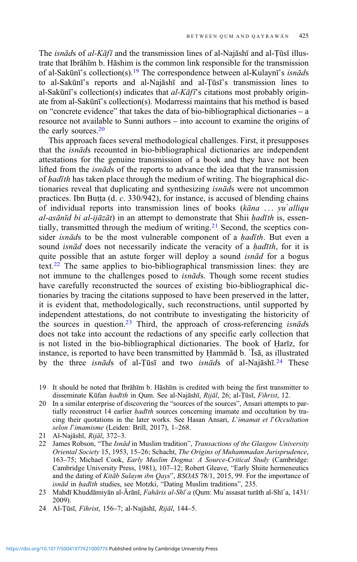The isnāds of al-Kāfī and the transmission lines of al-Najāshī and al-Ṭūsī illustrate that Ibrāhīm b. Hāshim is the common link responsible for the transmission of al-Sakūnī's collection(s).<sup>19</sup> The correspondence between al-Kulaynī's *isnāds* to al-Sakūnī's reports and al-Najāshī and al-Ṭūsī's transmission lines to al-Sakūnī's collection(s) indicates that  $al-K\bar{a}f\bar{i}$ 's citations most probably originate from al-Sakūnī's collection(s). Modarressi maintains that his method is based on "concrete evidence" that takes the data of bio-bibliographical dictionaries – a resource not available to Sunni authors – into account to examine the origins of the early sources.<sup>20</sup>

This approach faces several methodological challenges. First, it presupposes that the isnāds recounted in bio-bibliographical dictionaries are independent attestations for the genuine transmission of a book and they have not been lifted from the isnāds of the reports to advance the idea that the transmission of hadīth has taken place through the medium of writing. The biographical dictionaries reveal that duplicating and synthesizing isnāds were not uncommon practices. Ibn Butta (d. c. 330/942), for instance, is accused of blending chains of individual reports into transmission lines of books (kāna ... yuʿalliqu  $al-as\bar{a}n\bar{i}d$  bi al-ijāzāt) in an attempt to demonstrate that Shii  $had\bar{i}th$  is, essentially, transmitted through the medium of writing.<sup>21</sup> Second, the sceptics consider *isnāds* to be the most vulnerable component of a *hadīth*. But even a sound *isnād* does not necessarily indicate the veracity of a *hadīth*, for it is quite possible that an astute forger will deploy a sound *isnad* for a bogus text.<sup>22</sup> The same applies to bio-bibliographical transmission lines: they are not immune to the challenges posed to isnāds. Though some recent studies have carefully reconstructed the sources of existing bio-bibliographical dictionaries by tracing the citations supposed to have been preserved in the latter, it is evident that, methodologically, such reconstructions, until supported by independent attestations, do not contribute to investigating the historicity of the sources in question.<sup>23</sup> Third, the approach of cross-referencing *isnads* does not take into account the redactions of any specific early collection that is not listed in the bio-bibliographical dictionaries. The book of Ḥarīz, for instance, is reported to have been transmitted by Ḥammād b. ʿĪsā, as illustrated by the three *isnāds* of al-Țūsī and two *isnāds* of al-Najāshī.<sup>24</sup> These

- 19 It should be noted that Ibrāhīm b. Hāshīm is credited with being the first transmitter to disseminate Kūfan *ḥadīth* in Qum. See al-Najāshī, Rijāl, 26; al-Ţūsī, Fihrist, 12.
- 20 In a similar enterprise of discovering the "sources of the sources", Ansari attempts to partially reconstruct 14 earlier *hadīth* sources concerning imamate and occultation by tracing their quotations in the later works. See Hasan Ansari, L'imamat et l'Occultation selon l'imamisme (Leiden: Brill, 2017), 1–268.
- 21 Al-Najāshī, Rijāl, 372–3.
- 22 James Robson, "The Isnād in Muslim tradition", Transactions of the Glasgow University Oriental Society 15, 1953, 15–26; Schacht, The Origins of Muhammadan Jurisprudence, 163–75; Michael Cook, Early Muslim Dogma: A Source-Critical Study (Cambridge: Cambridge University Press, 1981), 107–12; Robert Gleave, "Early Shiite hermeneutics and the dating of Kitab Sulaym ibn Qays", BSOAS 78/1, 2015, 99. For the importance of isnād in hadīth studies, see Motzki, "Dating Muslim traditions", 235.
- 23 Mahdī Khuddāmiyān al-Ārānī, *Fahāris al-Shī'a* (Qum: Mu'assasat turāth al-Shī'a, 1431/ 2009).

<sup>24</sup> Al-Ṭūsī, Fihrist, 156–7; al-Najāshī, Rijāl, 144–5.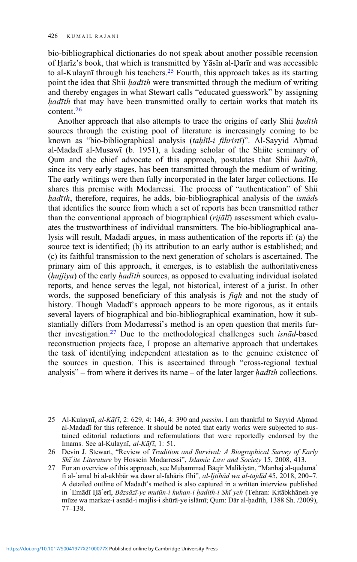bio-bibliographical dictionaries do not speak about another possible recension of Harīz's book, that which is transmitted by Yāsīn al-Darīr and was accessible to al-Kulaynī through his teachers.<sup>25</sup> Fourth, this approach takes as its starting point the idea that Shii *hadīth* were transmitted through the medium of writing and thereby engages in what Stewart calls "educated guesswork" by assigning hadīth that may have been transmitted orally to certain works that match its content.<sup>26</sup>

Another approach that also attempts to trace the origins of early Shii hadīth sources through the existing pool of literature is increasingly coming to be known as "bio-bibliographical analysis (tahlīl-i fihristī)". Al-Sayyid Aḥmad al-Madadī al-Musawī (b. 1951), a leading scholar of the Shiite seminary of Qum and the chief advocate of this approach, postulates that Shii hadīth, since its very early stages, has been transmitted through the medium of writing. The early writings were then fully incorporated in the later larger collections. He shares this premise with Modarressi. The process of "authentication" of Shii hadīth, therefore, requires, he adds, bio-bibliographical analysis of the *isnāds* that identifies the source from which a set of reports has been transmitted rather than the conventional approach of biographical (rijālī) assessment which evaluates the trustworthiness of individual transmitters. The bio-bibliographical analysis will result, Madadī argues, in mass authentication of the reports if: (a) the source text is identified; (b) its attribution to an early author is established; and (c) its faithful transmission to the next generation of scholars is ascertained. The primary aim of this approach, it emerges, is to establish the authoritativeness  $(hujjiv)$  of the early hadīth sources, as opposed to evaluating individual isolated reports, and hence serves the legal, not historical, interest of a jurist. In other words, the supposed beneficiary of this analysis is *fiqh* and not the study of history. Though Madadī's approach appears to be more rigorous, as it entails several layers of biographical and bio-bibliographical examination, how it substantially differs from Modarressi's method is an open question that merits further investigation.<sup>27</sup> Due to the methodological challenges such *isnad*-based reconstruction projects face, I propose an alternative approach that undertakes the task of identifying independent attestation as to the genuine existence of the sources in question. This is ascertained through "cross-regional textual analysis" – from where it derives its name – of the later larger  $h$ adīth collections.

<sup>25</sup> Al-Kulaynī,  $al-Kāf\bar{t}$ , 2: 629, 4: 146, 4: 390 and *passim*. I am thankful to Sayyid Ahmad al-Madadī for this reference. It should be noted that early works were subjected to sustained editorial redactions and reformulations that were reportedly endorsed by the Imams. See al-Kulaynī, al-Kāfī, 1: 51.

<sup>26</sup> Devin J. Stewart, "Review of Tradition and Survival: A Biographical Survey of Early Shī ite Literature by Hossein Modarressi", Islamic Law and Society 15, 2008, 413.

<sup>27</sup> For an overview of this approach, see Muḥammad Bāqir Malikiyān, "Manhaj al-qudamāʾ fī al-ʿamal bi al-akhbār wa dawr al-fahāris fīhi", al-Ijtihād wa al-tajdīd 45, 2018, 200–7. A detailed outline of Madadī's method is also captured in a written interview published in ʿEmādī Ḥāʾerī, Bāzsāzī-ye mutūn-i kuhan-i ḥadith-i Shīʿyeh (Tehran: Kitābkhāneh-ye mūze wa markaz-i asnād-i majlis-i shūrā-ye islāmī; Qum: Dār al-ḥadīth, 1388 Sh. /2009), 77–138.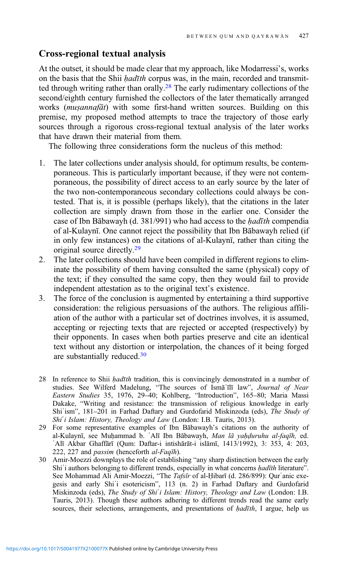### Cross-regional textual analysis

At the outset, it should be made clear that my approach, like Modarressi's, works on the basis that the Shii *hadīth* corpus was, in the main, recorded and transmitted through writing rather than orally.28 The early rudimentary collections of the second/eighth century furnished the collectors of the later thematically arranged works (*musannafāt*) with some first-hand written sources. Building on this premise, my proposed method attempts to trace the trajectory of those early sources through a rigorous cross-regional textual analysis of the later works that have drawn their material from them.

The following three considerations form the nucleus of this method:

- 1. The later collections under analysis should, for optimum results, be contemporaneous. This is particularly important because, if they were not contemporaneous, the possibility of direct access to an early source by the later of the two non-contemporaneous secondary collections could always be contested. That is, it is possible (perhaps likely), that the citations in the later collection are simply drawn from those in the earlier one. Consider the case of Ibn Bābawayh (d. 381/991) who had access to the *hadīth* compendia of al-Kulaynī. One cannot reject the possibility that Ibn Bābawayh relied (if in only few instances) on the citations of al-Kulaynī, rather than citing the original source directly.<sup>29</sup>
- 2. The later collections should have been compiled in different regions to eliminate the possibility of them having consulted the same (physical) copy of the text; if they consulted the same copy, then they would fail to provide independent attestation as to the original text's existence.
- 3. The force of the conclusion is augmented by entertaining a third supportive consideration: the religious persuasions of the authors. The religious affiliation of the author with a particular set of doctrines involves, it is assumed, accepting or rejecting texts that are rejected or accepted (respectively) by their opponents. In cases when both parties preserve and cite an identical text without any distortion or interpolation, the chances of it being forged are substantially reduced.<sup>30</sup>
- 28 In reference to Shii *hadīth* tradition, this is convincingly demonstrated in a number of studies. See Wilferd Madelung, "The sources of Isma ilī law", Journal of Near Eastern Studies 35, 1976, 29–40; Kohlberg, "Introduction", 165–80; Maria Massi Dakake, "Writing and resistance: the transmission of religious knowledge in early Shi'ism", 181-201 in Farhad Daftary and Gurdofarid Miskinzoda (eds), The Study of Shi'i Islam: History, Theology and Law (London: I.B. Tauris, 2013).
- 29 For some representative examples of Ibn Bābawayh's citations on the authority of al-Kulaynī, see Muhammad b. ʿAlī Ibn Bābawayh, Man lā yahduruhu al-faqīh, ed. ʿAlī Akbar Ghaffārī (Qum: Daftar-i intishārāt-i islāmī, 1413/1992), 3: 353, 4: 203, 222, 227 and passim (henceforth al-Faqīh).
- 30 Amir-Moezzi downplays the role of establishing "any sharp distinction between the early Shi'i authors belonging to different trends, especially in what concerns *hadīth* literature". See Mohammad Ali Amir-Moezzi, "The Tafsīr of al-Ḥibarī (d. 286/899): Qur'anic exegesis and early Shiʿi esotericism", 113 (n. 2) in Farhad Daftary and Gurdofarid Miskinzoda (eds), The Study of Shi'i Islam: History, Theology and Law (London: I.B. Tauris, 2013). Though these authors adhering to different trends read the same early sources, their selections, arrangements, and presentations of *hadīth*, I argue, help us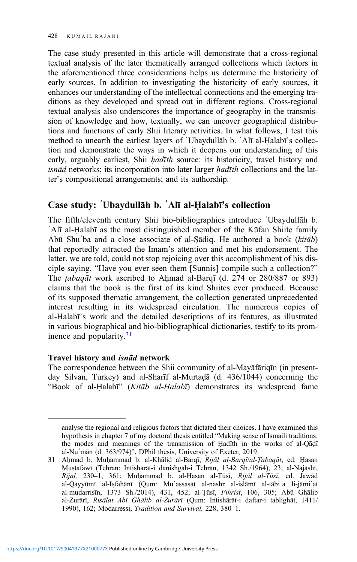The case study presented in this article will demonstrate that a cross-regional textual analysis of the later thematically arranged collections which factors in the aforementioned three considerations helps us determine the historicity of early sources. In addition to investigating the historicity of early sources, it enhances our understanding of the intellectual connections and the emerging traditions as they developed and spread out in different regions. Cross-regional textual analysis also underscores the importance of geography in the transmission of knowledge and how, textually, we can uncover geographical distributions and functions of early Shii literary activities. In what follows, I test this method to unearth the earliest layers of ʿUbaydullāh b. ʿAlī al-Ḥalabī's collection and demonstrate the ways in which it deepens our understanding of this early, arguably earliest, Shii hadīth source: its historicity, travel history and *isnād* networks; its incorporation into later larger  $had\bar{t}$  collections and the latter's compositional arrangements; and its authorship.

## Case study: ʿUbaydullāh b. ʿAlī al-Ḥalabī's collection

The fifth/eleventh century Shii bio-bibliographies introduce ʿUbaydullāh b. ʿAlī al-Ḥalabī as the most distinguished member of the Kūfan Shiite family Abū Shuʿba and a close associate of al-Ṣādiq. He authored a book (kitāb) that reportedly attracted the Imam's attention and met his endorsement. The latter, we are told, could not stop rejoicing over this accomplishment of his disciple saying, "Have you ever seen them [Sunnis] compile such a collection?" The *tabaqāt* work ascribed to Aḥmad al-Barqī (d. 274 or 280/887 or 893) claims that the book is the first of its kind Shiites ever produced. Because of its supposed thematic arrangement, the collection generated unprecedented interest resulting in its widespread circulation. The numerous copies of al-Ḥalabī's work and the detailed descriptions of its features, as illustrated in various biographical and bio-bibliographical dictionaries, testify to its prominence and popularity. $31$ 

#### Travel history and isnād network

The correspondence between the Shii community of al-Mayāfāriqīn (in presentday Silvan, Turkey) and al-Sharīf al-Murtaḍā (d. 436/1044) concerning the "Book of al-Ḥalabī" (Kitāb al-Ḥalabī) demonstrates its widespread fame

analyse the regional and religious factors that dictated their choices. I have examined this hypothesis in chapter 7 of my doctoral thesis entitled "Making sense of Ismaili traditions: the modes and meanings of the transmission of Ḥadīth in the works of al-Qāḍī al-Nuʿmān (d. 363/974)", DPhil thesis, University of Exeter, 2019.

<sup>31</sup> Aḥmad b. Muḥammad b. al-Khālid al-Barqī, Rijāl al-Barqī/al-Ṭabaqāt, ed. Ḥasan Muṣṭafawī (Tehran: Intishārāt-i dānishgāh-i Tehrān, 1342 Sh./1964), 23; al-Najāshī, Rījal, 230–1, 361; Muḥammad b. al-Ḥasan al-Ṭūsī, Rijāl al-Ṭūsī, ed. Jawād al-Qayyūmī al-Iṣfahānī (Qum: Muʾassasat al-nashr al-islāmī al-tābiʿa li-jāmiʿat al-mudarrisīn, 1373 Sh./2014), 431, 452; al-Ṭūsī, Fihrist, 106, 305; Abū Ghālib al-Zurārī, Risālat Abī Ghālib al-Zurārī (Qum: Intishārāt-i daftar-i tablighāt, 1411/ 1990), 162; Modarressi, Tradition and Survival, 228, 380–1.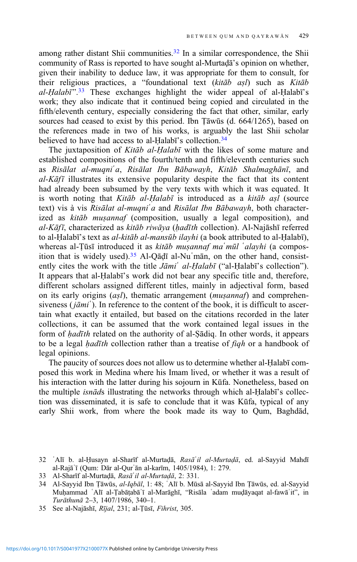among rather distant Shii communities.<sup>32</sup> In a similar correspondence, the Shii community of Rass is reported to have sought al-Murtaḍā's opinion on whether, given their inability to deduce law, it was appropriate for them to consult, for their religious practices, a "foundational text (kitāb aṣl) such as Kitāb al-Halabī".<sup>33</sup> These exchanges highlight the wider appeal of al-Halabī's work; they also indicate that it continued being copied and circulated in the fifth/eleventh century, especially considering the fact that other, similar, early sources had ceased to exist by this period. Ibn Ṭāwūs (d. 664/1265), based on the references made in two of his works, is arguably the last Shii scholar believed to have had access to al-Ḥalabī's collection.<sup>34</sup>

The juxtaposition of *Kitāb al-Halabī* with the likes of some mature and established compositions of the fourth/tenth and fifth/eleventh centuries such as Risālat al-muqniʿa, Risālat Ibn Bābawayh, Kitāb Shalmaghānī, and  $al-K\bar{a}f\bar{i}$  illustrates its extensive popularity despite the fact that its content had already been subsumed by the very texts with which it was equated. It is worth noting that Kitāb al-Halabī is introduced as a kitāb asl (source text) vis à vis Risālat al-muqni'a and Risālat Ibn Bābawayh, both characterized as kitāb muṣannaf (composition, usually a legal composition), and  $al-Kāf\bar{\imath}$ , characterized as kitāb riwāya (hadīth collection). Al-Najāshī referred to al-Ḥalabī's text as al-kitāb al-mansūb ilayhi (a book attributed to al-Ḥalabī), whereas al-Țūsī introduced it as kitāb mușannaf ma'mūl 'alayhi (a composition that is widely used).<sup>35</sup> Al-Qāḍī al-Nu mān, on the other hand, consistently cites the work with the title Jāmi' al-Ḥalabī ("al-Ḥalabī's collection"). It appears that al-Ḥalabī's work did not bear any specific title and, therefore, different scholars assigned different titles, mainly in adjectival form, based on its early origins  $(a<sub>s</sub>l)$ , thematic arrangement (*muṣannaf*) and comprehensiveness ( $j\bar{a}mi'$ ). In reference to the content of the book, it is difficult to ascertain what exactly it entailed, but based on the citations recorded in the later collections, it can be assumed that the work contained legal issues in the form of *hadīth* related on the authority of al-Sādiq. In other words, it appears to be a legal *hadīth* collection rather than a treatise of *figh* or a handbook of legal opinions.

The paucity of sources does not allow us to determine whether al-Ḥalabī composed this work in Medina where his Imam lived, or whether it was a result of his interaction with the latter during his sojourn in Kūfa. Nonetheless, based on the multiple *isnāds* illustrating the networks through which al-Halabī's collection was disseminated, it is safe to conclude that it was Kūfa, typical of any early Shii work, from where the book made its way to Qum, Baghdād,

<sup>32</sup> ʿAlī b. al-Ḥusayn al-Sharīf al-Murtaḍā, Rasāʾil al-Murtaḍā, ed. al-Sayyid Mahdī al-Rajāʾī (Qum: Dār al-Qurʾān al-karīm, 1405/1984), 1: 279.

<sup>33</sup> Al-Sharīf al-Murtaḍā, Rasāʾil al-Murtaḍā, 2: 331.

<sup>34</sup> Al-Sayyid Ibn Ṭāwūs, al-Iqbāl, 1: 48; ʿAlī b. Mūsā al-Sayyid Ibn Ṭāwūs, ed. al-Sayyid Muḥammad ʿAlī al-Ṭabāṭabāʾī al-Marāghī, "Risāla ʿadam muḍāyaqat al-fawāʾit", in Turāthunā 2–3, 1407/1986, 340–1.

<sup>35</sup> See al-Najāshī, Rījal, 231; al-Ṭūsī, Fihrist, 305.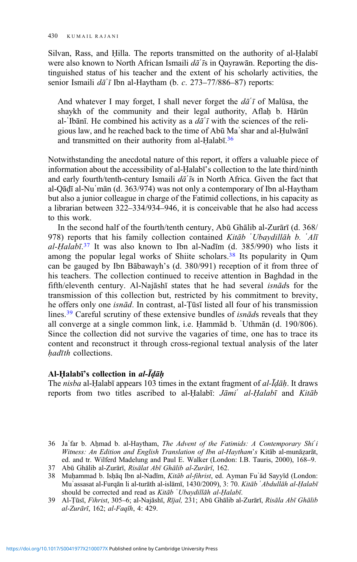Silvan, Rass, and Hilla. The reports transmitted on the authority of al-Halabī were also known to North African Ismaili  $d\vec{a}$  is in Oayrawān. Reporting the distinguished status of his teacher and the extent of his scholarly activities, the senior Ismaili  $d\vec{a}$ 'ī Ibn al-Haytham (b. c. 273–77/886–87) reports:

And whatever I may forget, I shall never forget the  $d\bar{a}$  of Malūsa, the shaykh of the community and their legal authority, Aflah b. Hārūn al-'Ibānī. He combined his activity as a  $d\vec{a}$ '*ī* with the sciences of the religious law, and he reached back to the time of Abū Maʿshar and al-Ḥulwānī and transmitted on their authority from al-Ḥalabī.<sup>36</sup>

Notwithstanding the anecdotal nature of this report, it offers a valuable piece of information about the accessibility of al-Ḥalabī's collection to the late third/ninth and early fourth/tenth-century Ismaili  $d\bar{a}$  is in North Africa. Given the fact that al-Qāḍī al-Nuʿmān (d. 363/974) was not only a contemporary of Ibn al-Haytham but also a junior colleague in charge of the Fatimid collections, in his capacity as a librarian between 322–334/934–946, it is conceivable that he also had access to this work.

In the second half of the fourth/tenth century, Abū Ghālib al-Zurārī (d. 368/ 978) reports that his family collection contained Kitāb 'Ubaydillāh b. 'Alī al-Ḥalabī.<sup>37</sup> It was also known to Ibn al-Nadīm (d. 385/990) who lists it among the popular legal works of Shiite scholars.<sup>38</sup> Its popularity in Oum can be gauged by Ibn Bābawayh's (d. 380/991) reception of it from three of his teachers. The collection continued to receive attention in Baghdad in the fifth/eleventh century. Al-Najāshī states that he had several isnāds for the transmission of this collection but, restricted by his commitment to brevity, he offers only one *isnād*. In contrast, al-Tūsī listed all four of his transmission lines.<sup>39</sup> Careful scrutiny of these extensive bundles of *isnads* reveals that they all converge at a single common link, i.e. Ḥammād b. ʿUthmān (d. 190/806). Since the collection did not survive the vagaries of time, one has to trace its content and reconstruct it through cross-regional textual analysis of the later  $h$ adīth collections.

#### Al-Ḥalabī's collection in al-Īḍāḥ

The nisba al-Ḥalabī appears 103 times in the extant fragment of al-Īdāh. It draws reports from two titles ascribed to al-Ḥalabī: Jāmi al-Ḥalabī and Kitāb

<sup>36</sup> Jaʿfar b. Aḥmad b. al-Haytham, The Advent of the Fatimids: A Contemporary Shiʿi Witness: An Edition and English Translation of Ibn al-Haytham's Kitāb al-munāẓarāt, ed. and tr. Wilferd Madelung and Paul E. Walker (London: I.B. Tauris, 2000), 168–9.

<sup>37</sup> Abū Ghālib al-Zurārī, Risālat Abī Ghālib al-Zurārī, 162.

<sup>38</sup> Muḥammad b. Isḥāq Ibn al-Nadīm, Kitāb al-fihrist, ed. Ayman Fuʾād Sayyīd (London: Muʾassasat al-Furqān li al-turāth al-islāmī, 1430/2009), 3: 70. Kitāb ʿAbdullāh al-Ḥalabī should be corrected and read as Kitāb 'Ubaydillāh al-Halabī.

<sup>39</sup> Al-Ṭūsī, Fihrist, 305–6; al-Najāshī, Rījal, 231; Abū Ghālib al-Zurārī, Risāla Abī Ghālib al-Zurārī, 162; al-Faqīh, 4: 429.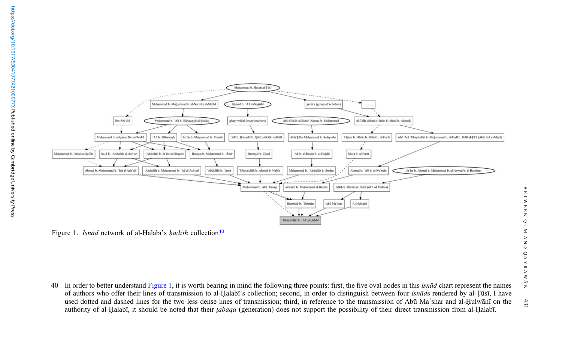

Figure 1. Isnād network of al-Ḥalabī's hadīth collection<sup>40</sup>

40 In order to better understand Figure 1, it is worth bearing in mind the following three points: first, the five oval nodes in this *isnad* chart represent the names of authors who offer their lines of transmission to al-Ḥalabī'<sup>s</sup> collection; second, in order to distinguish between four isnād<sup>s</sup> rendered by al-Ṭūsī, I have used dotted and dashed lines for the two less dense lines of transmission; third, in reference to the transmission of Ab<sup>ū</sup> Ma<sup>ʿ</sup>shar and al-Ḥulwān<sup>ī</sup> on the authority of al-Ḥalabī, it should be noted that their *tabaqa* (generation) does not support the possibility of their direct transmission from al-Halabī.

431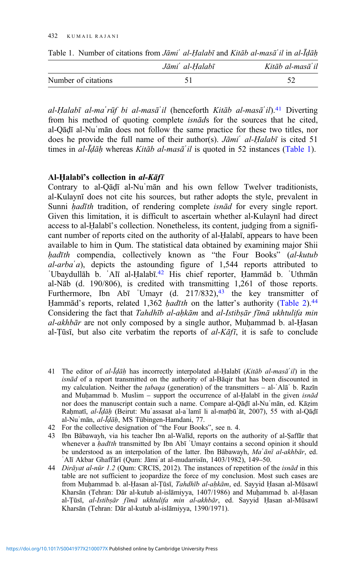Table 1. Number of citations from Jāmi<sup>'</sup> al-Halabī and Kitāb al-masā<sup>'</sup>il in al-Īdāh

|                     | Jāmi' al-Halabī | Kitāb al-masā'il |  |
|---------------------|-----------------|------------------|--|
| Number of citations |                 |                  |  |

al-Ḥalabī al-maʿrūf bi al-masāʾil (henceforth Kitāb al-masāʾil).<sup>41</sup> Diverting from his method of quoting complete isnāds for the sources that he cited, al-Qāḍī al-Nuʿmān does not follow the same practice for these two titles, nor does he provide the full name of their author(s). Jāmi al-Ḥalabī is cited 51 times in al-*Īdāh* whereas *Kitāb al-masā* il is quoted in 52 instances (Table 1).

## Al-Ḥalabī's collection in al-Kāfī

Contrary to al-Qāḍī al-Nuʿmān and his own fellow Twelver traditionists, al-Kulaynī does not cite his sources, but rather adopts the style, prevalent in Sunni hadīth tradition, of rendering complete *isnād* for every single report. Given this limitation, it is difficult to ascertain whether al-Kulaynī had direct access to al-Ḥalabī's collection. Nonetheless, its content, judging from a significant number of reports cited on the authority of al-Ḥalabī, appears to have been available to him in Qum. The statistical data obtained by examining major Shii hadīth compendia, collectively known as "the Four Books" (al-kutub  $al-arba<sup>2</sup>a$ , depicts the astounding figure of 1,544 reports attributed to ʿUbaydullāh b. ʿAlī al-Ḥalabī. <sup>42</sup> His chief reporter, Ḥammād b. ʿUthmān al-Nāb (d. 190/806), is credited with transmitting 1,261 of those reports. Furthermore, Ibn Abī 'Umayr (d. 217/832), $43$  the key transmitter of Hammād's reports, related 1,362 *hadīth* on the latter's authority ([Table 2](#page-14-0)).<sup>44</sup> Considering the fact that Tahdhīb al-ahkām and al-Istibsār fīmā ukhtulifa min al-akhbār are not only composed by a single author, Muḥammad b. al-Ḥasan al-Țūsī, but also cite verbatim the reports of  $al-Kāf\bar{t}$ , it is safe to conclude

- 41 The editor of al- $\bar{I}d\bar{a}h$  has incorrectly interpolated al-Halabī (Kitāb al-masā $i$ il) in the isnād of a report transmitted on the authority of al-Bāqir that has been discounted in my calculation. Neither the *tabaqa* (generation) of the transmitters  $-$  al- $\hat{A}$ la<sup> $\hat{a}$ </sup> b. Razīn and Muḥammad b. Muslim – support the occurrence of al-Ḥalabī in the given  $isn\bar{a}d$ nor does the manuscript contain such a name. Compare al-Qāḍī al-Nuʿmān, ed. Kāẓim Rahmatī, al-Īdāh (Beirut: Mu'assasat al-a'lamī li al-matbū'āt, 2007), 55 with al-Qādī al-Nuʿmān, al-Īḍāḥ, MS Tübingen-Hamdani, 77.
- 42 For the collective designation of "the Four Books", see n. 4.
- 43 Ibn Bābawayh, via his teacher Ibn al-Walīd, reports on the authority of al-Ṣaffār that whenever a *hadīth* transmitted by Ibn Abī 'Umayr contains a second opinion it should be understood as an interpolation of the latter. Ibn Bābawayh, Maʿānī al-akhbār, ed. ʿAlī Akbar Ghaff ārī (Qum: Jāmiʿat al-mudarrisīn, 1403/1982), 149–50.
- 44 *Dirāyat al-nūr 1.2* (Qum: CRCIS, 2012). The instances of repetition of the *isnād* in this table are not sufficient to jeopardize the force of my conclusion. Most such cases are from Muhammad b. al-Hasan al-Tūsī, Tahdhīb al-ahkām, ed. Sayyid Hasan al-Mūsawī Kharsān (Tehran: Dār al-kutub al-islāmiyya, 1407/1986) and Muhammad b. al-Hasan al-Tūsī, al-Istibsār fīmā ukhtulifa min al-akhbār, ed. Sayyid Hasan al-Mūsawī Kharsān (Tehran: Dār al-kutub al-islāmiyya, 1390/1971).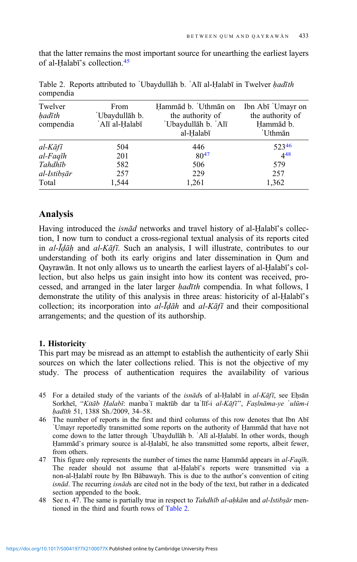<span id="page-14-0"></span>that the latter remains the most important source for unearthing the earliest layers of al-Ḥalabī's collection.45

| Twelver<br>hadīth<br>compendia | From<br>'Ubaydullāh b.<br>Alī al-Ḥalabī | Hammād b. 'Uthmān on<br>the authority of<br>'Ubaydullāh b. 'Alī<br>al-Halabī | Ibn Abī 'Umayr on<br>the authority of<br>Hammad b.<br><b>Uthmān</b> |
|--------------------------------|-----------------------------------------|------------------------------------------------------------------------------|---------------------------------------------------------------------|
| $al$ -Kāfī                     | 504                                     | 446                                                                          | 52346                                                               |
| $al-Faq\bar{u}h$               | 201                                     | $80^{47}$                                                                    | 448                                                                 |
| Tahdhīb                        | 582                                     | 506                                                                          | 579                                                                 |
| al-Istibsār                    | 257                                     | 229                                                                          | 257                                                                 |
| Total                          | 1,544                                   | 1,261                                                                        | 1,362                                                               |

Table 2. Reports attributed to 'Ubaydullāh b. 'Alī al-Ḥalabī in Twelver hadīth compendia

# Analysis

Having introduced the *isnad* networks and travel history of al-Ḥalabī's collection, I now turn to conduct a cross-regional textual analysis of its reports cited in al-Īḍāḥ and al-Kāfī. Such an analysis, I will illustrate, contributes to our understanding of both its early origins and later dissemination in Qum and Qayrawān. It not only allows us to unearth the earliest layers of al-Ḥalabī's collection, but also helps us gain insight into how its content was received, processed, and arranged in the later larger *hadīth* compendia. In what follows, I demonstrate the utility of this analysis in three areas: historicity of al-Ḥalabī's collection; its incorporation into  $al$ - $\bar{I}d\bar{a}h$  and  $al$ - $K\bar{a}f\bar{\iota}$  and their compositional arrangements; and the question of its authorship.

## 1. Historicity

This part may be misread as an attempt to establish the authenticity of early Shii sources on which the later collections relied. This is not the objective of my study. The process of authentication requires the availability of various

- 45 For a detailed study of the variants of the *isnads* of al-Halabī in  $al$ -Kāfī, see Ehsān Sorkheī, "Kitāb Ḥalabī: manba'ī maktūb dar ta'līf-i al-Kāfī", Fașlnāma-ye 'ulūm-i hadīth 51, 1388 Sh./2009, 34-58.
- 46 The number of reports in the first and third columns of this row denotes that Ibn Abī ʿUmayr reportedly transmitted some reports on the authority of Ḥammād that have not come down to the latter through ʿUbaydullāh b. ʿAlī al-Ḥalabī. In other words, though Ḥammād's primary source is al-Ḥalabī, he also transmitted some reports, albeit fewer, from others.
- 47 This figure only represents the number of times the name Ḥammād appears in al-Faqīh. The reader should not assume that al-Ḥalabī's reports were transmitted via a non-al-Ḥalabī route by Ibn Bābawayh. This is due to the author's convention of citing isnād. The recurring isnāds are cited not in the body of the text, but rather in a dedicated section appended to the book.
- 48 See n. 47. The same is partially true in respect to *Tahdhīb al-ahkām* and *al-Istibsār* mentioned in the third and fourth rows of Table 2.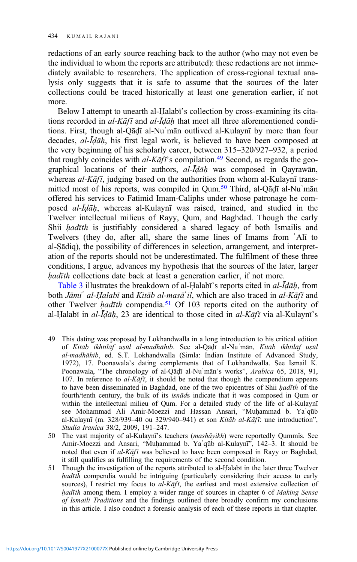redactions of an early source reaching back to the author (who may not even be the individual to whom the reports are attributed): these redactions are not immediately available to researchers. The application of cross-regional textual analysis only suggests that it is safe to assume that the sources of the later collections could be traced historically at least one generation earlier, if not more.

Below I attempt to unearth al-Halabī's collection by cross-examining its citations recorded in  $al$ -Kāfī and  $al$ -Īdāh that meet all three aforementioned conditions. First, though al-Qāḍī al-Nuʿmān outlived al-Kulaynī by more than four decades, al-Īḍāḥ, his first legal work, is believed to have been composed at the very beginning of his scholarly career, between 315–320/927–932, a period that roughly coincides with  $al-K\bar{a}f\bar{i}$ 's compilation.<sup>49</sup> Second, as regards the geographical locations of their authors,  $al$ - $\bar{l}d\bar{a}h$  was composed in Oayrawān, whereas al-Kāfī, judging based on the authorities from whom al-Kulaynī transmitted most of his reports, was compiled in Qum.<sup>50</sup> Third, al-Qāḍī al-Nuʿmān offered his services to Fatimid Imam-Caliphs under whose patronage he composed al-Īḍāḥ, whereas al-Kulaynī was raised, trained, and studied in the Twelver intellectual milieus of Rayy, Qum, and Baghdad. Though the early Shii *hadīth* is justifiably considered a shared legacy of both Ismailis and Twelvers (they do, after all, share the same lines of Imams from ʿAlī to al-Ṣādiq), the possibility of differences in selection, arrangement, and interpretation of the reports should not be underestimated. The fulfilment of these three conditions, I argue, advances my hypothesis that the sources of the later, larger hadīth collections date back at least a generation earlier, if not more.

[Table 3](#page-16-0) illustrates the breakdown of al-Ḥalabī's reports cited in al-Īḍāḥ, from both Jāmi<sup>'</sup> al-Halabī and Kitāb al-masā<sup>'</sup>il, which are also traced in al-Kāfī and other Twelver *hadīth* compendia.<sup>51</sup> Of 103 reports cited on the authority of al-Ḥalabī in  $al$ -Īḍāḥ, 23 are identical to those cited in  $al$ -Kāfī via al-Kulaynī's

- 49 This dating was proposed by Lokhandwalla in a long introduction to his critical edition of Kitāb ikhtilāf uṣūl al-madhāhib. See al-Qāḍī al-Nuʿmān, Kitāb ikhtilāf uṣūl al-madhāhib, ed. S.T. Lokhandwalla (Simla: Indian Institute of Advanced Study, 1972), 17. Poonawala's dating complements that of Lokhandwalla. See Ismail K. Poonawala, "The chronology of al-Qāḍī al-Nuʿmān's works", Arabica 65, 2018, 91, 107. In reference to  $al-Kāf\bar{t}$ , it should be noted that though the compendium appears to have been disseminated in Baghdad, one of the two epicentres of Shii *hadīth* of the fourth/tenth century, the bulk of its isnāds indicate that it was composed in Qum or within the intellectual milieu of Qum. For a detailed study of the life of al-Kulaynī see Mohammad Ali Amir-Moezzi and Hassan Ansari, "Muhammad b. Ya qub al-Kulaynī (m. 328/939–40 ou 329/940–941) et son Kitāb al-Kāfī: une introduction", Studia Iranica 38/2, 2009, 191–247.
- 50 The vast majority of al-Kulaynī's teachers (mashāyikh) were reportedly Qummīs. See Amir-Moezzi and Ansari, "Muhammad b. Ya qub al-Kulaynī", 142-3. It should be noted that even if al-Kāfī was believed to have been composed in Rayy or Baghdad, it still qualifies as fulfilling the requirements of the second condition.
- 51 Though the investigation of the reports attributed to al-Ḥalabī in the later three Twelver hadīth compendia would be intriguing (particularly considering their access to early sources), I restrict my focus to  $aI-K\bar{a}f\bar{\tau}$ , the earliest and most extensive collection of hadīth among them. I employ a wider range of sources in chapter 6 of Making Sense of Ismaili Traditions and the findings outlined there broadly confirm my conclusions in this article. I also conduct a forensic analysis of each of these reports in that chapter.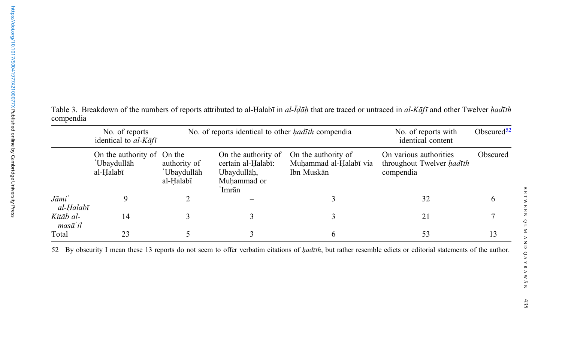|                      | No. of reports identical to other <i>hadīth</i> compendia<br>No. of reports<br>identical to $al$ -Kāfī |                                          |                                                                                   |                                                             | No. of reports with<br>identical content                                | Obscured $52$ |
|----------------------|--------------------------------------------------------------------------------------------------------|------------------------------------------|-----------------------------------------------------------------------------------|-------------------------------------------------------------|-------------------------------------------------------------------------|---------------|
|                      | On the authority of On the<br>ʻUbaydullāh<br>al-Halabī                                                 | authority of<br>ʻUbaydullāh<br>al-Halabī | On the authority of<br>certain al-Halabī:<br>Ubaydullāh,<br>Muhammad or<br>`Imrān | On the authority of<br>Muhammad al-Halabī via<br>Ibn Muskān | On various authorities<br>throughout Twelver <i>hadīth</i><br>compendia | Obscured      |
| Jāmiʿ<br>al-Halabī   |                                                                                                        |                                          |                                                                                   |                                                             | 32                                                                      |               |
| Kitāb al-<br>masā'il | 14                                                                                                     |                                          |                                                                                   |                                                             | 21                                                                      |               |
| Total                | 23                                                                                                     |                                          |                                                                                   | n.                                                          |                                                                         | 13            |

<span id="page-16-0"></span>Table 3. Breakdown of the numbers of reports attributed to al-Halabī in al-Īḍāḥ that are traced or untraced in al-Kāfī and other Twelver hadīth compendia

52 By obscurity I mean these 13 reports do not seem to offer verbatim citations of *hadīth*, but rather resemble edicts or editorial statements of the author.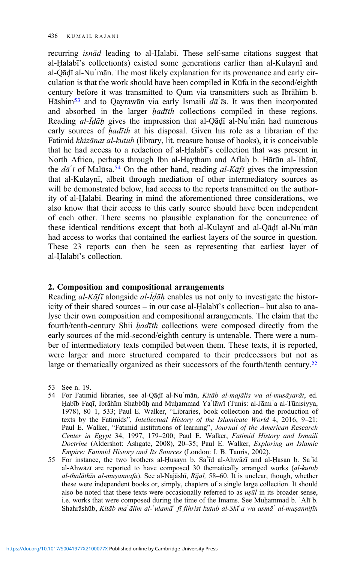recurring isnād leading to al-Ḥalabī. These self-same citations suggest that al-Ḥalabī's collection(s) existed some generations earlier than al-Kulaynī and al-Qāḍī al-Nuʿmān. The most likely explanation for its provenance and early circulation is that the work should have been compiled in Kūfa in the second/eighth century before it was transmitted to Qum via transmitters such as Ibrāhīm b. Hāshim<sup>53</sup> and to Qayrawān via early Ismaili  $d\bar{a}$ 'īs. It was then incorporated and absorbed in the larger hadīth collections compiled in these regions. Reading al- $\bar{I}d\bar{a}h$  gives the impression that al-Q $\bar{a}d\bar{a}$  al-Nu $\dot{m}$  and numerous early sources of *hadīth* at his disposal. Given his role as a librarian of the Fatimid khizānat al-kutub (library, lit. treasure house of books), it is conceivable that he had access to a redaction of al-Ḥalabī's collection that was present in North Africa, perhaps through Ibn al-Haytham and Aflaḥ b. Hārūn al-ʿIbānī, the  $d\bar{a}$ '<sub>i</sub> of Malūsa.<sup>54</sup> On the other hand, reading al-K $\bar{a}$ <sup>f</sup> gives the impression that al-Kulaynī, albeit through mediation of other intermediatory sources as will be demonstrated below, had access to the reports transmitted on the authority of al-Ḥalabī. Bearing in mind the aforementioned three considerations, we also know that their access to this early source should have been independent of each other. There seems no plausible explanation for the concurrence of these identical renditions except that both al-Kulaynī and al-Qāḍī al-Nuʿmān had access to works that contained the earliest layers of the source in question. These 23 reports can then be seen as representing that earliest layer of al-Ḥalabī's collection.

#### 2. Composition and compositional arrangements

Reading al-Kāfī alongside al-Īdāḥ enables us not only to investigate the historicity of their shared sources – in our case al-Ḥalabī's collection– but also to analyse their own composition and compositional arrangements. The claim that the fourth/tenth-century Shii hadīth collections were composed directly from the early sources of the mid-second/eighth century is untenable. There were a number of intermediatory texts compiled between them. These texts, it is reported, were larger and more structured compared to their predecessors but not as large or thematically organized as their successors of the fourth/tenth century.<sup>55</sup>

53 See n. 19.

- 54 For Fatimid libraries, see al-Qāḍī al-Nuʿmān, Kitāb al-majālis wa al-musāyarāt, ed. Ḥabīb Faqī, Ibrāhīm Shabbūḥ and Muḥammad Yaʿlāwī (Tunis: al-Jāmiʿa al-Tūnisiyya, 1978), 80–1, 533; Paul E. Walker, "Libraries, book collection and the production of texts by the Fatimids", Intellectual History of the Islamicate World 4, 2016, 9–21; Paul E. Walker, "Fatimid institutions of learning", Journal of the American Research Center in Egypt 34, 1997, 179–200; Paul E. Walker, Fatimid History and Ismaili Doctrine (Aldershot: Ashgate, 2008), 20–35; Paul E. Walker, Exploring an Islamic Empire: Fatimid History and Its Sources (London: I. B. Tauris, 2002).
- 55 For instance, the two brothers al-Ḥusayn b. Saʿīd al-Ahwāzī and al-Ḥasan b. Saʿīd al-Ahwāzī are reported to have composed 30 thematically arranged works  $(al-kutub$ al-thalāthīn al-muṣannafa). See al-Najāshī, Rījal, 58–60. It is unclear, though, whether these were independent books or, simply, chapters of a single large collection. It should also be noted that these texts were occasionally referred to as  $us\bar{u}l$  in its broader sense, i.e. works that were composed during the time of the Imams. See Muhammad b.  $\Delta I$  b. Shahrāshūb, Kitāb maʿālim al-ʿulamāʾ fī fihrist kutub al-Shīʿa wa asmāʾ al-muṣannifīn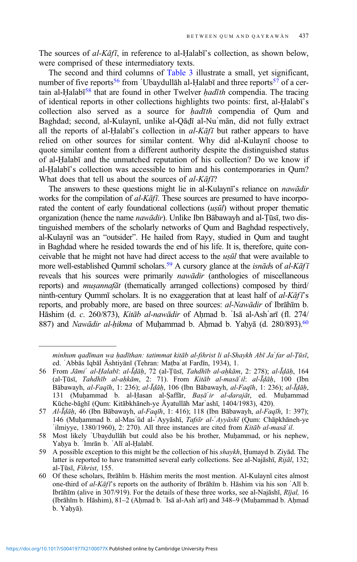The sources of al-Kāfī, in reference to al-Halabī's collection, as shown below, were comprised of these intermediatory texts.

The second and third columns of [Table 3](#page-16-0) illustrate a small, yet significant, number of five reports<sup>56</sup> from 'Ubaydullāh al-Ḥalabī and three reports<sup>57</sup> of a certain al-Ḥalabī<sup>58</sup> that are found in other Twelver *ḥadīth* compendia. The tracing of identical reports in other collections highlights two points: first, al-Ḥalabī's collection also served as a source for *hadīth* compendia of Qum and Baghdad; second, al-Kulaynī, unlike al-Qāḍī al-Nuʿmān, did not fully extract all the reports of al-Halabī's collection in  $al$ -Kāfī but rather appears to have relied on other sources for similar content. Why did al-Kulaynī choose to quote similar content from a different authority despite the distinguished status of al-Ḥalabī and the unmatched reputation of his collection? Do we know if al-Ḥalabī's collection was accessible to him and his contemporaries in Qum? What does that tell us about the sources of al-Kāfī?

The answers to these questions might lie in al-Kulaynī's reliance on *nawādir* works for the compilation of al-Kāfī. These sources are presumed to have incorporated the content of early foundational collections  $(u\varsigma\bar{u}l)$  without proper thematic organization (hence the name *nawādir*). Unlike Ibn Bābawayh and al-Tūsī, two distinguished members of the scholarly networks of Qum and Baghdad respectively, al-Kulaynī was an "outsider". He hailed from Rayy, studied in Qum and taught in Baghdad where he resided towards the end of his life. It is, therefore, quite conceivable that he might not have had direct access to the *usūl* that were available to more well-established Qummī scholars.<sup>59</sup> A cursory glance at the *isnads* of al-Kaf  $\bar{i}$ reveals that his sources were primarily *nawādir* (anthologies of miscellaneous reports) and *musannafāt* (thematically arranged collections) composed by third/ ninth-century Qummī scholars. It is no exaggeration that at least half of  $al$ -K $\bar{a}f\bar{i}$ 's reports, and probably more, are based on three sources: al-Nawādir of Ibrāhīm b. Hāshim (d. c. 260/873), Kitāb al-nawādir of Aḥmad b. 'Isā al-Ash arī (fl. 274/ 887) and Nawādir al-hikma of Muḥammad b. Aḥmad b. Yaḥyā (d. 280/893).<sup>60</sup>

minhum qadīman wa ḥadīthan: tatimmat kitāb al-fihrist li al-Shaykh Abī Jaʿfar al-Ṭūsī, ed. ʿAbbās Iqbāl Āshtiyānī (Tehran: Maṭbaʿat Fardīn, 1934), 1.

<sup>56</sup> From Jāmiʿ al-Ḥalabī: al-Īḍāḥ, 72 (al-Ṭūsī, Tahdhīb al-aḥkām, 2: 278); al-Īḍāḥ, 164 (al-Ṭūsī, Tahdhīb al-aḥkām, 2: 71). From Kitāb al-masāʾil: al-Īḍāḥ, 100 (Ibn Bābawayh, al-Faqīh, 1: 236); al-Īḍāḥ, 106 (Ibn Bābawayh, al-Faqīh, 1: 236); al-Īḍāḥ, 131 (Muḥammad b. al-Ḥasan al-Ṣaffār, Baṣāʾir al-darajāt, ed. Muḥammad Kūche-bāghī (Qum: Kitābkhāneh-ye Āyatullāh Marʿashī, 1404/1983), 420).

<sup>57</sup> Al-Īḍāḥ, 46 (Ibn Bābawayh, al-Faqīh, 1: 416); 118 (Ibn Bābawayh, al-Faqīh, 1: 397); 146 (Muḥammad b. al-Masʿūd al-ʿAyyāshī, Tafsīr al-ʿAyyāshī (Qum: Chāpkhāneh-ye 'ilmiyye, 1380/1960), 2: 270). All three instances are cited from Kitāb al-masā'il.

<sup>58</sup> Most likely ʿUbaydullāh but could also be his brother, Muḥammad, or his nephew, Yaḥya b. ʿImrān b. ʿAlī al-Ḥalabī.

<sup>59</sup> A possible exception to this might be the collection of his shaykh, Ḥumayd b. Ziyād. The latter is reported to have transmitted several early collections. See al-Najāshī, Rijāl, 132; al-Ṭūsī, Fihrist, 155.

<sup>60</sup> Of these scholars, Ibrāhīm b. Hāshim merits the most mention. Al-Kulaynī cites almost one-third of al-Kāfī's reports on the authority of Ibrāhīm b. Hāshim via his son ʿAlī b. Ibrāhīm (alive in 307/919). For the details of these three works, see al-Najāshī, Rījal, 16 (Ibrāhīm b. Hāshim), 81–2 (Aḥmad b. ʿIsā al-Ashʿarī) and 348–9 (Muḥammad b. Aḥmad b. Yaḥyā).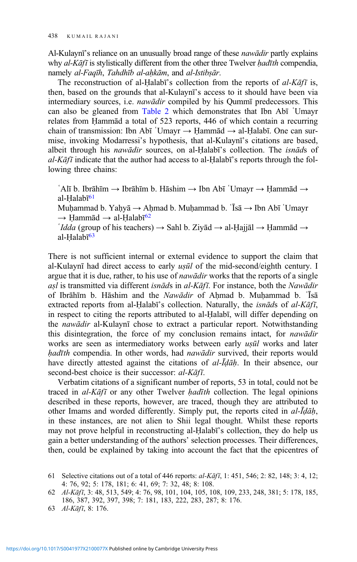Al-Kulaynī's reliance on an unusually broad range of these *nawādir* partly explains why  $al-Kāf\bar{\iota}$  is stylistically different from the other three Twelver *hadīth* compendia, namely al-Faqīh, Tahdhīb al-aḥkām, and al-Istibṣār.

The reconstruction of al-Ḥalabī's collection from the reports of  $al$ -Kāfī is, then, based on the grounds that al-Kulaynī's access to it should have been via intermediary sources, i.e. *nawādir* compiled by his Qummī predecessors. This can also be gleaned from [Table 2](#page-14-0) which demonstrates that Ibn Abī ʿUmayr relates from Ḥammād a total of 523 reports, 446 of which contain a recurring chain of transmission: Ibn Abī ʿUmayr → Ḥammād → al-Ḥalabī. One can surmise, invoking Modarressi's hypothesis, that al-Kulaynī's citations are based, albeit through his nawādir sources, on al-Halabī's collection. The *isnāds* of  $al-Kāf\bar{\iota}$  indicate that the author had access to al-Ḥalabī's reports through the following three chains:

ʿAlī b. Ibrāhīm → Ibrāhīm b. Hāshim → Ibn Abī ʿUmayr → Ḥammād → al-Ḥalabī<sup>61</sup>

Muḥammad b. Yaḥyā → Aḥmad b. Muḥammad b. ʿĪsā → Ibn Abī ʿUmayr  $\rightarrow$  Ḥammād  $\rightarrow$  al-Ḥalabī<sup>62</sup>

 $'Idda$  (group of his teachers)  $\rightarrow$  Sahl b. Ziyād  $\rightarrow$  al-Ḥajjāl  $\rightarrow$  Hammād  $\rightarrow$ al-Ḥalabī<sup>63</sup>

There is not sufficient internal or external evidence to support the claim that al-Kulaynī had direct access to early ușūl of the mid-second/eighth century. I argue that it is due, rather, to his use of *nawādir* works that the reports of a single asl is transmitted via different isnāds in al-Kāfī. For instance, both the Nawādir of Ibrāhīm b. Hāshim and the Nawādir of Aḥmad b. Muḥammad b. ʿĪsā extracted reports from al-Ḥalabī's collection. Naturally, the *isnāds* of  $aI-Kāf\bar{t}$ , in respect to citing the reports attributed to al-Ḥalabī, will differ depending on the nawādir al-Kulaynī chose to extract a particular report. Notwithstanding this disintegration, the force of my conclusion remains intact, for *nawadir* works are seen as intermediatory works between early usul works and later hadīth compendia. In other words, had nawādir survived, their reports would have directly attested against the citations of al- $\bar{I}d\bar{a}h$ . In their absence, our second-best choice is their successor: al-Kāfī.

Verbatim citations of a significant number of reports, 53 in total, could not be traced in  $al$ -Kāfī or any other Twelver *hadīth* collection. The legal opinions described in these reports, however, are traced, though they are attributed to other Imams and worded differently. Simply put, the reports cited in al-Īḍāḥ, in these instances, are not alien to Shii legal thought. Whilst these reports may not prove helpful in reconstructing al-Ḥalabī's collection, they do help us gain a better understanding of the authors' selection processes. Their differences, then, could be explained by taking into account the fact that the epicentres of

<sup>61</sup> Selective citations out of a total of 446 reports: al-Kāfī, 1: 451, 546; 2: 82, 148; 3: 4, 12; 4: 76, 92; 5: 178, 181; 6: 41, 69; 7: 32, 48; 8: 108.

<sup>62</sup> Al-Kāfī, 3: 48, 513, 549; 4: 76, 98, 101, 104, 105, 108, 109, 233, 248, 381; 5: 178, 185, 186, 387, 392, 397, 398; 7: 181, 183, 222, 283, 287; 8: 176.

<sup>63</sup> Al-Kāfī, 8: 176.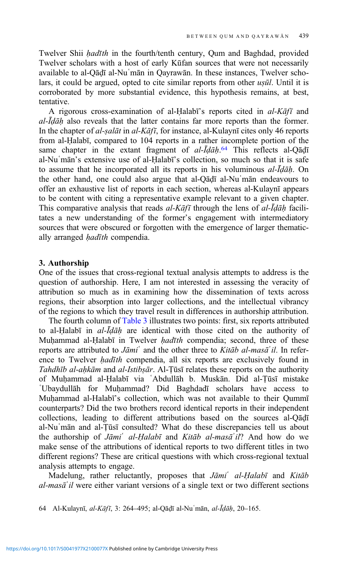Twelver Shii hadīth in the fourth/tenth century, Qum and Baghdad, provided Twelver scholars with a host of early Kūfan sources that were not necessarily available to al-Qāḍī al-Nuʿmān in Qayrawān. In these instances, Twelver scholars, it could be argued, opted to cite similar reports from other uşūl. Until it is corroborated by more substantial evidence, this hypothesis remains, at best, tentative.

A rigorous cross-examination of al-Halabī's reports cited in  $al-Kāf\bar{\iota}$  and  $al$ - $\bar{Id}\bar{a}h$  also reveals that the latter contains far more reports than the former. In the chapter of al-salāt in al-Kāfī, for instance, al-Kulaynī cites only 46 reports from al-Ḥalabī, compared to 104 reports in a rather incomplete portion of the same chapter in the extant fragment of al- $\bar{I}d\bar{a}h$ .<sup>64</sup> This reflects al-Qādī al-Nuʿmān's extensive use of al-Ḥalabī's collection, so much so that it is safe to assume that he incorporated all its reports in his voluminous  $al$ - $\bar{Id}\bar{a}h$ . On the other hand, one could also argue that al-Qāḍī al-Nuʿmān endeavours to offer an exhaustive list of reports in each section, whereas al-Kulaynī appears to be content with citing a representative example relevant to a given chapter. This comparative analysis that reads  $al-K\bar{a}f\bar{\iota}$  through the lens of  $al-\bar{I}d\bar{a}h$  facilitates a new understanding of the former's engagement with intermediatory sources that were obscured or forgotten with the emergence of larger thematically arranged *hadīth* compendia.

#### 3. Authorship

One of the issues that cross-regional textual analysis attempts to address is the question of authorship. Here, I am not interested in assessing the veracity of attribution so much as in examining how the dissemination of texts across regions, their absorption into larger collections, and the intellectual vibrancy of the regions to which they travel result in differences in authorship attribution.

The fourth column of [Table 3](#page-16-0) illustrates two points: first, six reports attributed to al-Ḥalabī in al-Īḍāḥ are identical with those cited on the authority of Muhammad al-Halabī in Twelver *hadīth* compendia; second, three of these reports are attributed to Jāmi<sup>'</sup> and the other three to Kitāb al-masā<sup>'</sup>il. In reference to Twelver *hadīth* compendia, all six reports are exclusively found in Tahdhīb al-ahkām and al-Istibṣār. Al-Țūsī relates these reports on the authority of Muḥammad al-Ḥalabī via ʿAbdullāh b. Muskān. Did al-Ṭūsī mistake ʿUbaydullāh for Muḥammad? Did Baghdadī scholars have access to Muḥammad al-Halabī's collection, which was not available to their Qummī counterparts? Did the two brothers record identical reports in their independent collections, leading to different attributions based on the sources al-Qāḍī al-Nuʿmān and al-Ṭūsī consulted? What do these discrepancies tell us about the authorship of Jāmi' al-Ḥalabī and Kitāb al-masā'il? And how do we make sense of the attributions of identical reports to two different titles in two different regions? These are critical questions with which cross-regional textual analysis attempts to engage.

Madelung, rather reluctantly, proposes that Jāmi' al-Ḥalabī and Kitāb al-masāʾil were either variant versions of a single text or two different sections

64 Al-Kulaynī, al-Kāfī, 3: 264–495; al-Qāḍī al-Nuʿmān, al-Īḍāḥ, 20–165.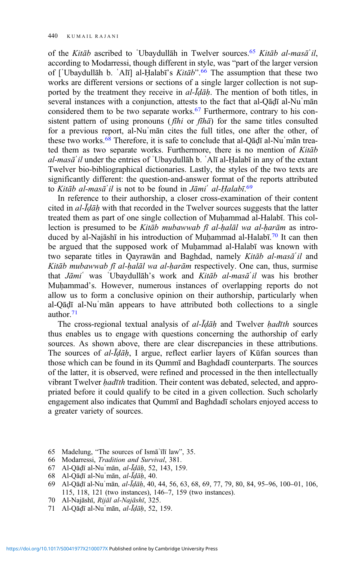of the Kitāb ascribed to `Ubaydullāh in Twelver sources.<sup>65</sup> Kitāb al-masā<sup>'</sup>il, according to Modarressi, though different in style, was "part of the larger version of ['Ubaydullāh b. 'Alī] al-Ḥalabī's *Kitāb*".<sup>66</sup> The assumption that these two works are different versions or sections of a single larger collection is not supported by the treatment they receive in al- $\bar{I}d\bar{a}h$ . The mention of both titles, in several instances with a conjunction, attests to the fact that al-Qāḍī al-Nuʿmān considered them to be two separate works.<sup>67</sup> Furthermore, contrary to his consistent pattern of using pronouns ( $f\hat{h}$  or  $f\hat{h}\hat{a}$ ) for the same titles consulted for a previous report, al-Nuʿmān cites the full titles, one after the other, of these two works.<sup>68</sup> Therefore, it is safe to conclude that al-Qādī al-Nu mān treated them as two separate works. Furthermore, there is no mention of Kitāb al-masā'il under the entries of 'Ubaydullāh b. 'Alī al-Ḥalabī in any of the extant Twelver bio-bibliographical dictionaries. Lastly, the styles of the two texts are significantly different: the question-and-answer format of the reports attributed to Kitāb al-masā'il is not to be found in Jāmi' al-Ḥalabī.<sup>69</sup>

In reference to their authorship, a closer cross-examination of their content cited in al-Īḍāḥ with that recorded in the Twelver sources suggests that the latter treated them as part of one single collection of Muḥammad al-Halabī. This collection is presumed to be Kitāb mubawwab fī al-halāl wa al-harām as introduced by al-Najāshī in his introduction of Muḥammad al-Halabī. <sup>70</sup> It can then be argued that the supposed work of Muhammad al-Halabī was known with two separate titles in Qayrawān and Baghdad, namely Kitāb al-masāʿil and Kitāb mubawwab fī al-ḥalāl wa al-ḥarām respectively. One can, thus, surmise that  $J\bar{a}mi^{\prime}$  was `Ubaydullāh's work and Kitāb al-mas $\bar{a}$ 'il was his brother Muhammad's. However, numerous instances of overlapping reports do not allow us to form a conclusive opinion on their authorship, particularly when al-Qāḍī al-Nuʿmān appears to have attributed both collections to a single author.71

The cross-regional textual analysis of al- $\bar{I}d\bar{a}h$  and Twelver hadīth sources thus enables us to engage with questions concerning the authorship of early sources. As shown above, there are clear discrepancies in these attributions. The sources of al- $\bar{I}d\bar{a}h$ , I argue, reflect earlier layers of Kūfan sources than those which can be found in its Qummī and Baghdadī counterparts. The sources of the latter, it is observed, were refined and processed in the then intellectually vibrant Twelver hadīth tradition. Their content was debated, selected, and appropriated before it could qualify to be cited in a given collection. Such scholarly engagement also indicates that Qummī and Baghdadī scholars enjoyed access to a greater variety of sources.

- 65 Madelung, "The sources of Ismāʿīlī law", 35.
- 66 Modarressi, Tradition and Survival, 381.
- 67 Al-Qāḍī al-Nuʿmān, al-Īḍāḥ, 52, 143, 159.
- 68 Al-Qāḍī al-Nuʿmān, al-Īḍāḥ, 40.
- 69 Al-Qāḍī al-Nuʿmān, al-Īḍāḥ, 40, 44, 56, 63, 68, 69, 77, 79, 80, 84, 95–96, 100–01, 106, 115, 118, 121 (two instances), 146–7, 159 (two instances).
- 70 Al-Najāshī, Rijāl al-Najāshī, 325.
- 71 Al-Qāḍī al-Nuʿmān, al-Īḍāḥ, 52, 159.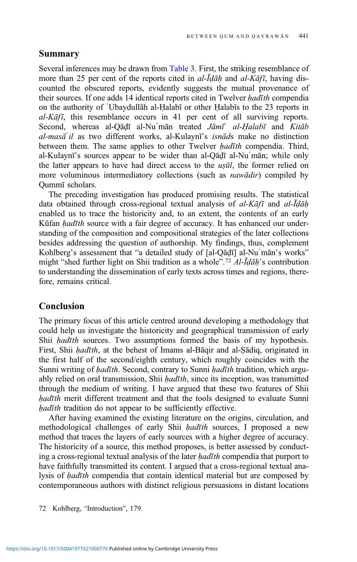#### Summary

Several inferences may be drawn from [Table 3](#page-16-0). First, the striking resemblance of more than 25 per cent of the reports cited in  $al$ - $\bar{I}d\bar{a}h$  and  $al$ - $K\bar{a}f\bar{i}$ , having discounted the obscured reports, evidently suggests the mutual provenance of their sources. If one adds 14 identical reports cited in Twelver hadīth compendia on the authority of ʿUbaydullāh al-Ḥalabī or other Ḥalabīs to the 23 reports in  $al-Kāf\bar{t}$ , this resemblance occurs in 41 per cent of all surviving reports. Second, whereas al-Qādī al-Nuʿmān treated Jāmīʿ al-Halabī and Kitāb al-masāʾil as two different works, al-Kulaynī's isnāds make no distinction between them. The same applies to other Twelver *hadīth* compendia. Third, al-Kulaynī's sources appear to be wider than al-Qāḍī al-Nuʿmān; while only the latter appears to have had direct access to the *usūl*, the former relied on more voluminous intermediatory collections (such as nawādir) compiled by Qummī scholars.

The preceding investigation has produced promising results. The statistical data obtained through cross-regional textual analysis of al-Kāfī and al-Īḍāḥ enabled us to trace the historicity and, to an extent, the contents of an early Kūfan *hadīth* source with a fair degree of accuracy. It has enhanced our understanding of the composition and compositional strategies of the later collections besides addressing the question of authorship. My findings, thus, complement Kohlberg's assessment that "a detailed study of [al-Qāḍī] al-Nuʿmān's works" might "shed further light on Shii tradition as a whole".<sup>72</sup> Al-Īdāḥ's contribution to understanding the dissemination of early texts across times and regions, therefore, remains critical.

## Conclusion

The primary focus of this article centred around developing a methodology that could help us investigate the historicity and geographical transmission of early Shii *hadīth* sources. Two assumptions formed the basis of my hypothesis. First, Shii hadīth, at the behest of Imams al-Bāqir and al-Şādiq, originated in the first half of the second/eighth century, which roughly coincides with the Sunni writing of hadīth. Second, contrary to Sunni hadīth tradition, which arguably relied on oral transmission, Shii hadīth, since its inception, was transmitted through the medium of writing. I have argued that these two features of Shii hadīth merit different treatment and that the tools designed to evaluate Sunni hadīth tradition do not appear to be sufficiently effective.

After having examined the existing literature on the origins, circulation, and methodological challenges of early Shii *hadīth* sources, I proposed a new method that traces the layers of early sources with a higher degree of accuracy. The historicity of a source, this method proposes, is better assessed by conducting a cross-regional textual analysis of the later *hadīth* compendia that purport to have faithfully transmitted its content. I argued that a cross-regional textual analysis of *hadīth* compendia that contain identical material but are composed by contemporaneous authors with distinct religious persuasions in distant locations

72 Kohlberg, "Introduction", 179.